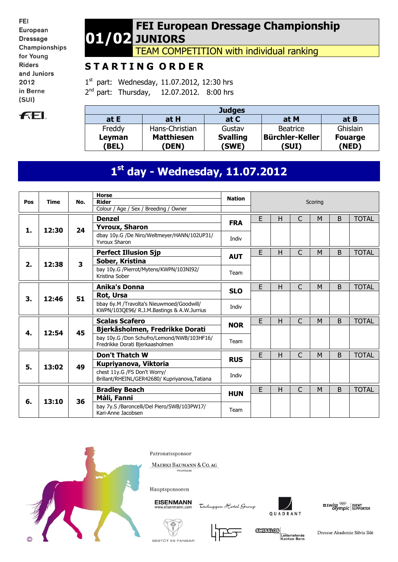FEI European **Dressage** Championships for Young **Riders** and Juniors 2012 in Berne  $(SUI)$ 



### **01/02 FEI European Dressage Championship JUNIORS**

TEAM COMPETITION with individual ranking

# **S T A R T I N G O R D E R**

1<sup>st</sup> part: Wednesday, 11.07.2012, 12:30 hrs 2<sup>nd</sup> part: Thursday, 12.07.2012. 8:00 hrs

| <b>Judges</b>   |                                   |                          |                          |                         |  |  |  |  |  |  |  |  |
|-----------------|-----------------------------------|--------------------------|--------------------------|-------------------------|--|--|--|--|--|--|--|--|
| at $E$          | at H                              | at C                     | at M                     | at B                    |  |  |  |  |  |  |  |  |
| Freddy          | Hans-Christian                    | Gustav                   | <b>Beatrice</b>          | Ghislain                |  |  |  |  |  |  |  |  |
| Leyman<br>(BEL) | <b>Matthiesen</b><br><b>(DEN)</b> | <b>Svalling</b><br>(SWE) | Bürchler-Keller<br>(SUI) | <b>Fouarge</b><br>(NED) |  |  |  |  |  |  |  |  |

# **1 st day - Wednesday, 11.07.2012**

|     |             |                         | <b>Horse</b>                                                                            | <b>Nation</b> |                                                                   |      |              |         |   |              |  |  |
|-----|-------------|-------------------------|-----------------------------------------------------------------------------------------|---------------|-------------------------------------------------------------------|------|--------------|---------|---|--------------|--|--|
| Pos | <b>Time</b> | No.                     | <b>Rider</b>                                                                            |               |                                                                   |      |              | Scoring |   |              |  |  |
|     |             |                         | Colour / Age / Sex / Breeding / Owner                                                   |               |                                                                   |      |              |         |   |              |  |  |
|     |             |                         | <b>Denzel</b>                                                                           | <b>FRA</b>    | E                                                                 | Н    | $\mathsf{C}$ | M       | B | <b>TOTAL</b> |  |  |
| 1.  | 12:30       | 24                      | <b>Yvroux, Sharon</b>                                                                   |               |                                                                   |      |              |         |   |              |  |  |
|     |             |                         | dbay 10y.G /De Niro/Weltmeyer/HANN/102UP31/<br><b>Yvroux Sharon</b>                     | Indiv         |                                                                   |      |              |         |   |              |  |  |
|     |             |                         | <b>Perfect Illusion Sjp</b>                                                             |               | E                                                                 | H    | C            | M       | B | <b>TOTAL</b> |  |  |
| 2.  | 12:38       | $\overline{\mathbf{3}}$ | Sober, Kristina                                                                         | <b>AUT</b>    |                                                                   |      |              |         |   |              |  |  |
|     |             |                         | bay 10y.G /Pierrot/Mytens/KWPN/103NI92/<br>Kristina Sober                               | Team          |                                                                   |      |              |         |   |              |  |  |
|     |             |                         | <b>Anika's Donna</b>                                                                    |               | E                                                                 | H    | $\mathsf{C}$ | M       | B | <b>TOTAL</b> |  |  |
|     | 12:46       | 51                      | Rot, Ursa                                                                               | <b>SLO</b>    |                                                                   |      |              |         |   |              |  |  |
| 3.  |             |                         | bbay 6y.M /Travolta's Nieuwmoed/Goodwill/<br>KWPN/103QE96/ R.J.M.Bastings & A.W.Jurrius | Indiv         |                                                                   |      |              |         |   |              |  |  |
|     |             |                         | <b>Scalas Scafero</b>                                                                   |               | E                                                                 | Н    | C            | M       | B | <b>TOTAL</b> |  |  |
|     |             | 45                      | Bjerkåsholmen, Fredrikke Dorati                                                         | <b>NOR</b>    |                                                                   |      |              |         |   |              |  |  |
| 4.  | 12:54       |                         | bay 10y.G /Don Schufro/Lemond/NWB/103HF16/<br>Fredrikke Dorati Bjerkaasholmen           | Team          |                                                                   |      |              |         |   |              |  |  |
|     |             |                         | <b>Don't Thatch W</b>                                                                   |               | E                                                                 | Н    | C            | M       | B | <b>TOTAL</b> |  |  |
| 5.  | 13:02       | 49                      | Kupriyanova, Viktoria                                                                   | <b>RUS</b>    |                                                                   |      |              |         |   |              |  |  |
|     |             |                         | chest 11y.G /FS Don't Worry/<br>Brillant/RHEINL/GER42680/ Kupriyanova, Tatiana          | Indiv         |                                                                   |      |              |         |   |              |  |  |
|     |             |                         | <b>Bradley Beach</b>                                                                    |               | E                                                                 | н    | $\mathsf{C}$ | M       | B | <b>TOTAL</b> |  |  |
|     |             |                         | Máli, Fanni                                                                             | <b>HUN</b>    |                                                                   |      |              |         |   |              |  |  |
| 6.  | 13:10       |                         |                                                                                         | 36            | bay 7y.S /Baroncelli/Del Piero/SWB/103PW17/<br>Kari-Anne Jacobsen | Team |              |         |   |              |  |  |



Patronatssponsor

MAERKI BAUMANN & CO. AG



**EISENMANN** 

Tschuggen Hotel Group



 $\frac{1}{2}$  swiss  $\frac{1}{2}$  event of supporter





**GUISSIOS** Lotteriefonds<br>Kanton Bern

Dressur Akademie Silvia Iklé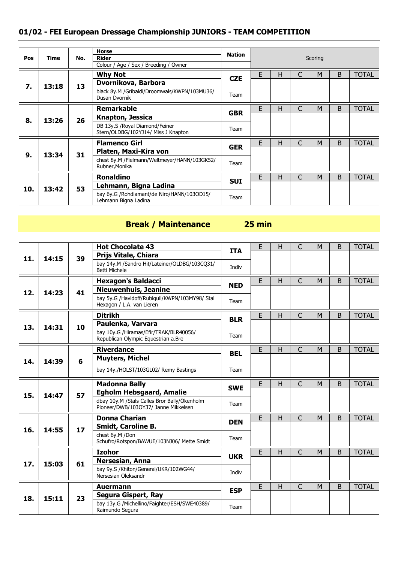| Pos | Time  | No. | <b>Horse</b><br><b>Rider</b>                                          | Nation                                                             |      |   |   | Scoring |   |              |
|-----|-------|-----|-----------------------------------------------------------------------|--------------------------------------------------------------------|------|---|---|---------|---|--------------|
|     |       |     | Colour / Age / Sex / Breeding / Owner<br><b>Why Not</b>               |                                                                    | E    | Н | C | M       | B | <b>TOTAL</b> |
| 7.  | 13:18 | 13  | Dvornikova, Barbora                                                   | <b>CZE</b>                                                         |      |   |   |         |   |              |
|     |       |     | black 8y.M /Gribaldi/Droomwals/KWPN/103MU36/<br>Dusan Dvornik         | Team                                                               |      |   |   |         |   |              |
|     |       |     | <b>Remarkable</b>                                                     |                                                                    | E    | Н |   | M       | B | <b>TOTAL</b> |
| 8.  | 13:26 | 26  | Knapton, Jessica                                                      | <b>GBR</b>                                                         |      |   |   |         |   |              |
|     |       |     | DB 13y.S /Royal Diamond/Feiner<br>Stern/OLDBG/102YJ14/ Miss J Knapton | Team                                                               |      |   |   |         |   |              |
|     |       |     | <b>Flamenco Girl</b>                                                  | <b>GER</b>                                                         | F    | н | C | M       | B | <b>TOTAL</b> |
| 9.  |       |     | Platen, Maxi-Kira von                                                 |                                                                    |      |   |   |         |   |              |
|     | 13:34 | 31  | chest 8y.M /Fielmann/Weltmeyer/HANN/103GK52/<br>Rubner, Monika        | Team                                                               |      |   |   |         |   |              |
|     |       |     | <b>Ronaldino</b>                                                      |                                                                    | E    | н | C | M       | B | <b>TOTAL</b> |
| 10. |       | 53  | Lehmann, Bigna Ladina                                                 | <b>SUI</b>                                                         |      |   |   |         |   |              |
|     | 13:42 |     |                                                                       | bay 6y.G /Rohdiamant/de Niro/HANN/103OD15/<br>Lehmann Bigna Ladina | Team |   |   |         |   |              |

### **Break / Maintenance 25 min**

|     |       |    | <b>Hot Chocolate 43</b>                                                              | <b>ITA</b> | E | H | C              | M | B | <b>TOTAL</b> |
|-----|-------|----|--------------------------------------------------------------------------------------|------------|---|---|----------------|---|---|--------------|
| 11. | 14:15 | 39 | Prijs Vitale, Chiara                                                                 |            |   |   |                |   |   |              |
|     |       |    | bay 14y.M /Sandro Hit/Lateiner/OLDBG/103CQ31/<br><b>Betti Michele</b>                | Indiv      |   |   |                |   |   |              |
|     |       |    | <b>Hexagon's Baldacci</b>                                                            | <b>NED</b> | E | H | C              | M | B | <b>TOTAL</b> |
| 12. | 14:23 | 41 | <b>Nieuwenhuis, Jeanine</b>                                                          |            |   |   |                |   |   |              |
|     |       |    | bay 5y.G /Havidoff/Rubiquil/KWPN/103MY98/ Stal<br>Hexagon / L.A. van Lieren          | Team       |   |   |                |   |   |              |
|     |       |    | <b>Ditrikh</b>                                                                       |            | E | Н | $\mathsf{C}$   | M | B | <b>TOTAL</b> |
| 13. | 14:31 | 10 | Paulenka, Varvara                                                                    | <b>BLR</b> |   |   |                |   |   |              |
|     |       |    | bay 10y.G /Hiramas/Efir/TRAK/BLR40056/<br>Republican Olympic Equestrian a.Bre        | Team       |   |   |                |   |   |              |
|     |       |    | <b>Riverdance</b>                                                                    |            | E | H | $\overline{C}$ | M | B | <b>TOTAL</b> |
| 14. | 14:39 | 6  | <b>Muyters, Michel</b>                                                               | <b>BEL</b> |   |   |                |   |   |              |
|     |       |    | bay 14y./HOLST/103GL02/ Remy Bastings                                                | Team       |   |   |                |   |   |              |
|     |       |    | <b>Madonna Bally</b>                                                                 | <b>SWE</b> | E | H | $\overline{C}$ | M | B | <b>TOTAL</b> |
| 15. | 14:47 | 57 | <b>Egholm Hebsgaard, Amalie</b>                                                      |            |   |   |                |   |   |              |
|     |       |    | dbay 10y.M /Stals Calles Bror Bally/Ökenholm<br>Pioneer/DWB/103OY37/ Janne Mikkelsen | Team       |   |   |                |   |   |              |
|     |       |    | <b>Donna Charian</b>                                                                 | <b>DEN</b> | E | н | C              | M | B | <b>TOTAL</b> |
| 16. | 14:55 | 17 | <b>Smidt, Caroline B.</b>                                                            |            |   |   |                |   |   |              |
|     |       |    | chest 6v.M /Don<br>Schufro/Rotspon/BAWUE/103NJ06/ Mette Smidt                        | Team       |   |   |                |   |   |              |
|     |       |    | <b>Izohor</b>                                                                        | <b>UKR</b> | Е | H | $\mathsf{C}$   | M | B | <b>TOTAL</b> |
| 17. | 15:03 | 61 | Nersesian, Anna                                                                      |            |   |   |                |   |   |              |
|     |       |    | bay 9y.S /Khiton/General/UKR/102WG44/<br>Nersesian Oleksandr                         | Indiv      |   |   |                |   |   |              |
|     |       |    | <b>Auermann</b>                                                                      | <b>ESP</b> | E | H | $\overline{C}$ | M | B | <b>TOTAL</b> |
| 18. | 15:11 | 23 | Segura Gispert, Ray                                                                  |            |   |   |                |   |   |              |
|     |       |    | bay 13y.G /Michellino/Faighter/ESH/SWE40389/<br>Raimundo Segura                      | Team       |   |   |                |   |   |              |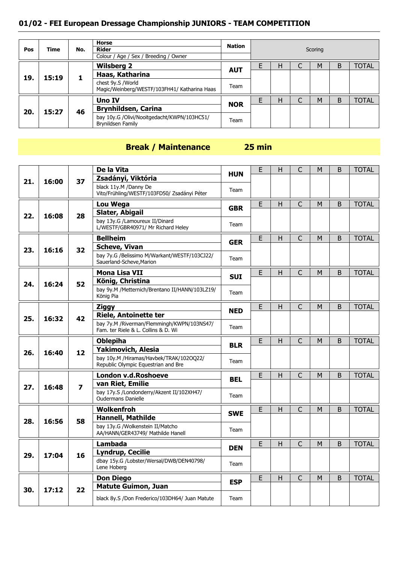| Pos | <b>Time</b> |    | <b>Horse</b><br>Rider                                             | Nation                                                           |      |   |   | Scoring |   |              |  |  |
|-----|-------------|----|-------------------------------------------------------------------|------------------------------------------------------------------|------|---|---|---------|---|--------------|--|--|
|     |             |    | Colour / Age / Sex / Breeding / Owner                             |                                                                  |      |   |   |         |   |              |  |  |
|     |             |    | <b>Wilsberg 2</b>                                                 | <b>AUT</b>                                                       |      | н | ◡ | M       | B | <b>TOTAL</b> |  |  |
| 19. | 15:19       |    | Haas, Katharina                                                   |                                                                  |      |   |   |         |   |              |  |  |
|     |             |    | chest 9y.S /World<br>Magic/Weinberg/WESTF/103FH41/ Katharina Haas | Team                                                             |      |   |   |         |   |              |  |  |
|     |             |    | <b>Uno IV</b>                                                     |                                                                  |      | H |   | M       | B | <b>TOTAL</b> |  |  |
|     |             | 46 | <b>Brynhildsen, Carina</b>                                        | <b>NOR</b>                                                       |      |   |   |         |   |              |  |  |
| 20. | 15:27       |    |                                                                   | bay 10y.G /Olivi/Nooitgedacht/KWPN/103HC51/<br>Brynildsen Family | Team |   |   |         |   |              |  |  |

# **Break / Maintenance 25 min**

|     |       |                | De la Vita                                                                         | HUN        | E | H  | C              | M | B           | <b>TOTAL</b> |
|-----|-------|----------------|------------------------------------------------------------------------------------|------------|---|----|----------------|---|-------------|--------------|
| 21. | 16:00 | 37             | Zsadányi, Viktória                                                                 |            |   |    |                |   |             |              |
|     |       |                | black 11y.M /Danny De<br>Vito/Frühling/WESTF/103FD50/ Zsadányi Péter               | Team       |   |    |                |   |             |              |
|     |       |                | Lou Wega                                                                           | <b>GBR</b> | E | H  | $\mathsf{C}$   | M | $\mathsf B$ | <b>TOTAL</b> |
| 22. | 16:08 | 28             | Slater, Abigail                                                                    |            |   |    |                |   |             |              |
|     |       |                | bay 13y.G /Lamoureux II/Dinard<br>L/WESTF/GBR40971/ Mr Richard Heley               | Team       |   |    |                |   |             |              |
|     |       |                | <b>Bellheim</b>                                                                    | <b>GER</b> | E | H  | $\mathsf{C}$   | M | B           | <b>TOTAL</b> |
| 23. | 16:16 | 32             | <b>Scheve, Vivan</b>                                                               |            |   |    |                |   |             |              |
|     |       |                | bay 7y.G /Belissimo M/Warkant/WESTF/103CJ22/<br>Sauerland-Scheve, Marion           | Team       |   |    |                |   |             |              |
|     |       |                | <b>Mona Lisa VII</b>                                                               | <b>SUI</b> | E | Н  | $\mathsf{C}$   | M | $\sf B$     | <b>TOTAL</b> |
| 24. | 16:24 | 52             | König, Christina                                                                   |            |   |    |                |   |             |              |
|     |       |                | bay 9y.M /Metternich/Brentano II/HANN/103LZ19/<br>König Pia                        | Team       |   |    |                |   |             |              |
|     |       |                | <b>Ziggy</b>                                                                       | <b>NED</b> | E | H  | $\overline{C}$ | M | B           | <b>TOTAL</b> |
| 25. | 16:32 | 42             | <b>Riele, Antoinette ter</b>                                                       |            |   |    |                |   |             |              |
|     |       |                | bay 7y.M / Riverman/Flemmingh/KWPN/103NS47/<br>Fam. ter Riele & L. Collins & D. Wi | Team       |   |    |                |   |             |              |
|     |       |                | <b>Oblepiha</b>                                                                    | <b>BLR</b> | E | Н  | $\mathsf{C}$   | M | B           | <b>TOTAL</b> |
| 26. | 16:40 | 12             | <b>Yakimovich, Alesia</b>                                                          |            |   |    |                |   |             |              |
|     |       |                | bay 10y.M /Hiramas/Havbek/TRAK/102OQ22/<br>Republic Olympic Equestrian and Bre     | Team       |   |    |                |   |             |              |
|     |       |                | London v.d.Roshoeve                                                                | BEL        | E | H  | $\mathsf{C}$   | M | B           | <b>TOTAL</b> |
| 27. | 16:48 | $\overline{z}$ | van Riet, Emilie                                                                   |            |   |    |                |   |             |              |
|     |       |                | bay 17y.S /Londonderry/Akzent II/102XH47/<br><b>Oudermans Danielle</b>             | Team       |   |    |                |   |             |              |
|     |       |                |                                                                                    |            |   |    |                |   |             |              |
|     |       |                | Wolkenfroh                                                                         |            | E | H. | $\mathsf{C}$   | M | B           | <b>TOTAL</b> |
|     | 16:56 |                | <b>Hannell, Mathilde</b>                                                           | <b>SWE</b> |   |    |                |   |             |              |
| 28. |       | 58             | bay 13y.G /Wolkenstein II/Matcho<br>AA/HANN/GER43749/ Mathilde Hanell              | Team       |   |    |                |   |             |              |
|     |       |                | <b>Lambada</b>                                                                     |            | E | H  | C              | M | B           | <b>TOTAL</b> |
|     | 17:04 | 16             | <b>Lyndrup, Cecilie</b>                                                            | <b>DEN</b> |   |    |                |   |             |              |
| 29. |       |                | dbay 15y.G /Lobster/Wersal/DWB/DEN40798/<br>Lene Hoberg                            | Team       |   |    |                |   |             |              |
|     |       |                | <b>Don Diego</b>                                                                   |            | E | H  | $\mathsf{C}$   | M | B           | <b>TOTAL</b> |
| 30. | 17:12 | 22             | <b>Matute Guimon, Juan</b>                                                         | <b>ESP</b> |   |    |                |   |             |              |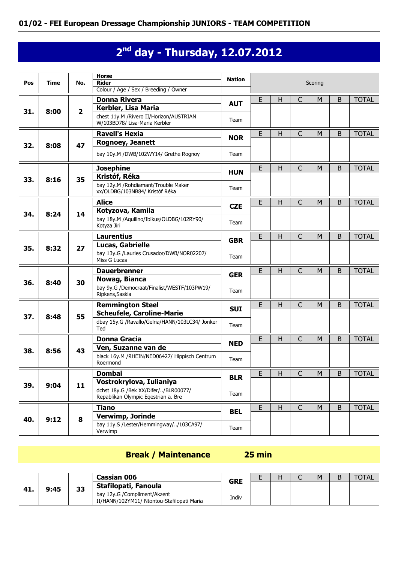# **2 nd day - Thursday, 12.07.2012**

|     |             | <b>Horse</b><br><b>Nation</b> |                                                                           |            |   |   |                |           |                |              |
|-----|-------------|-------------------------------|---------------------------------------------------------------------------|------------|---|---|----------------|-----------|----------------|--------------|
| Pos | <b>Time</b> | No.                           | <b>Rider</b>                                                              |            |   |   |                | Scoring   |                |              |
|     |             |                               | Colour / Age / Sex / Breeding / Owner                                     |            |   |   |                |           |                |              |
|     |             |                               | <b>Donna Rivera</b>                                                       | <b>AUT</b> | E | H | $\mathsf{C}$   | M         | B              | <b>TOTAL</b> |
| 31. | 8:00        | $\overline{\mathbf{2}}$       | Kerbler, Lisa Maria                                                       |            |   |   |                |           |                |              |
|     |             |                               | chest 11y.M / Rivero II/Horizon/AUSTRIAN<br>W/103BD78/ Lisa-Maria Kerbler | Team       |   |   |                |           |                |              |
|     |             |                               | <b>Ravell's Hexia</b>                                                     |            | E | H | $\overline{C}$ | M         | B              | <b>TOTAL</b> |
| 32. | 8:08        | 47                            | <b>Rognoey, Jeanett</b>                                                   | <b>NOR</b> |   |   |                |           |                |              |
|     |             |                               | bay 10y.M /DWB/102WY14/ Grethe Rognov                                     | Team       |   |   |                |           |                |              |
|     |             |                               | <b>Josephine</b>                                                          |            | E | H | C              | M         | B              | <b>TOTAL</b> |
|     |             | 35                            | Kristóf, Réka                                                             | <b>HUN</b> |   |   |                |           |                |              |
| 33. | 8:16        |                               | bay 12y.M / Rohdiamant/Trouble Maker<br>xx/OLDBG/103NB84/ Kristóf Réka    | Team       |   |   |                |           |                |              |
|     |             |                               | <b>Alice</b>                                                              |            | E | H | C              | M         | B              | <b>TOTAL</b> |
| 34. | 8:24        | 14                            | Kotyzova, Kamila                                                          | <b>CZE</b> |   |   |                |           |                |              |
|     |             |                               | bay 18y.M /Aquilino/Ibikus/OLDBG/102RY90/<br>Kotyza Jiri                  | Team       |   |   |                |           |                |              |
|     |             |                               | <b>Laurentius</b>                                                         |            | E | H | $\overline{C}$ | M         | B              | <b>TOTAL</b> |
| 35. | 8:32        | 27                            | Lucas, Gabrielle                                                          | <b>GBR</b> |   |   |                |           |                |              |
|     |             |                               | bay 13y.G /Lauries Crusador/DWB/NOR02207/                                 | Team       |   |   |                |           |                |              |
|     |             |                               | Miss G Lucas                                                              |            |   |   |                |           |                |              |
|     |             |                               | <b>Dauerbrenner</b>                                                       | <b>GER</b> | E | H | $\mathsf{C}$   | M         | B              | <b>TOTAL</b> |
| 36. | 8:40        | 30                            | Nowag, Bianca                                                             |            |   |   |                |           |                |              |
|     |             |                               | bay 9y.G /Democraat/Finalist/WESTF/103PW19/                               | Team       |   |   |                |           |                |              |
|     |             |                               | Ripkens, Saskia                                                           |            |   |   |                |           |                |              |
|     |             |                               | <b>Remmington Steel</b>                                                   | <b>SUI</b> | E | H | C              | M         | B              | <b>TOTAL</b> |
| 37. | 8:48        | 55                            | <b>Scheufele, Caroline-Marie</b>                                          |            |   |   |                |           |                |              |
|     |             |                               | dbay 15y.G /Ravallo/Gelria/HANN/103LC34/ Jonker                           | Team       |   |   |                |           |                |              |
|     |             |                               | Ted                                                                       |            |   |   |                |           |                |              |
|     |             |                               | <b>Donna Gracia</b>                                                       | <b>NED</b> | Е | н | C              | M         | B              | <b>TOTAL</b> |
| 38. | 8:56        | 43                            | Ven, Suzanne van de                                                       |            |   |   |                |           |                |              |
|     |             |                               | black 16y.M /RHEIN/NED06427/ Hippisch Centrum<br>Roermond                 | Team       |   |   |                |           |                |              |
|     |             |                               | <b>Dombai</b>                                                             |            | E | H | $\mathsf{C}$   | ${\sf M}$ | B <sub>1</sub> | <b>TOTAL</b> |
|     |             |                               | Vostrokrylova, Iulianiya                                                  | <b>BLR</b> |   |   |                |           |                |              |
| 39. | 9:04        | 11                            | dchst 18y.G /Bek XX/Difer//BLR00077/                                      |            |   |   |                |           |                |              |
|     |             |                               | Repablikan Olympic Eqestrian a. Bre                                       | Team       |   |   |                |           |                |              |
|     |             |                               | <b>Tiano</b>                                                              |            | E | H | $\mathsf{C}$   | M         | B              | <b>TOTAL</b> |
|     |             |                               | Verwimp, Jorinde                                                          | <b>BEL</b> |   |   |                |           |                |              |
| 40. |             | 8<br>9:12                     | bay 11y.S /Lester/Hemmingway//103CA97/                                    |            |   |   |                |           |                |              |
|     |             |                               | Verwimp                                                                   | Team       |   |   |                |           |                |              |

### **Break / Maintenance 25 min**

|     |      |    | Cassian 006                                                                | <b>GRE</b><br>- |  | M |  |  |
|-----|------|----|----------------------------------------------------------------------------|-----------------|--|---|--|--|
| 41. | 9:45 | 33 | Stafilopati, Fanoula                                                       |                 |  |   |  |  |
|     |      |    | bay 12y.G /Compliment/Akzent<br>II/HANN/102YM11/ Ntontou-Stafilopati Maria | Indiv           |  |   |  |  |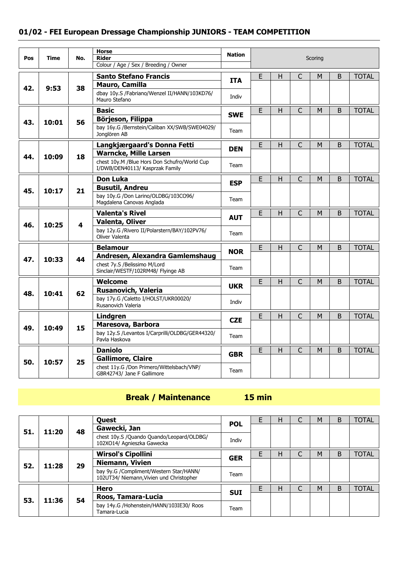|     |       |     | <b>Horse</b>                                                                    | <b>Nation</b> |                |              |                |         |             |              |
|-----|-------|-----|---------------------------------------------------------------------------------|---------------|----------------|--------------|----------------|---------|-------------|--------------|
| Pos | Time  | No. | <b>Rider</b><br>Colour / Age / Sex / Breeding / Owner                           |               |                |              |                | Scoring |             |              |
|     |       |     | <b>Santo Stefano Francis</b>                                                    |               | E              | H            | C              | М       | B           | <b>TOTAL</b> |
| 42. | 9:53  | 38  | Mauro, Camilla                                                                  | <b>ITA</b>    |                |              |                |         |             |              |
|     |       |     | dbay 10y.S /Fabriano/Wenzel II/HANN/103KD76/<br>Mauro Stefano                   | Indiv         |                |              |                |         |             |              |
|     |       |     | <b>Basic</b>                                                                    | <b>SWE</b>    | E              | H            | $\mathsf{C}$   | M       | B           | <b>TOTAL</b> |
| 43. | 10:01 | 56  | Börjeson, Filippa                                                               |               |                |              |                |         |             |              |
|     |       |     | bay 16y.G /Bernstein/Caliban XX/SWB/SWE04029/<br>Jonglören AB                   | Team          |                |              |                |         |             |              |
|     |       |     | Langkjærgaard's Donna Fetti                                                     | <b>DEN</b>    | E              | H            | C              | м       | $\mathsf B$ | <b>TOTAL</b> |
| 44. | 10:09 | 18  | <b>Warncke, Mille Larsen</b>                                                    |               |                |              |                |         |             |              |
|     |       |     | chest 10y.M /Blue Hors Don Schufro/World Cup<br>I/DWB/DEN40113/ Kasprzak Family | Team          |                |              |                |         |             |              |
|     |       |     | <b>Don Luka</b>                                                                 | <b>ESP</b>    | E              | $\mathsf{H}$ | $\mathsf{C}$   | M       | B           | <b>TOTAL</b> |
| 45. | 10:17 | 21  | <b>Busutil, Andreu</b>                                                          |               |                |              |                |         |             |              |
|     |       |     | bay 10y.G /Don Larino/OLDBG/103CO96/<br>Magdalena Canovas Anglada               | Team          |                |              |                |         |             |              |
|     |       |     | <b>Valenta's Rivel</b>                                                          | <b>AUT</b>    | E              | H            | $\mathsf{C}$   | M       | B           | <b>TOTAL</b> |
| 46. | 10:25 | 4   | <b>Valenta, Oliver</b>                                                          |               |                |              |                |         |             |              |
|     |       |     | bay 12y.G /Rivero II/Polarstern/BAY/102PV76/<br>Oliver Valenta                  | Team          |                |              |                |         |             |              |
|     |       |     | <b>Belamour</b>                                                                 | <b>NOR</b>    | E              | H            | $\overline{C}$ | M       | B           | <b>TOTAL</b> |
| 47. | 10:33 | 44  | Andresen, Alexandra Gamlemshaug                                                 |               |                |              |                |         |             |              |
|     |       |     | chest 7y.S /Belissimo M/Lord<br>Sinclair/WESTF/102RM48/ Flyinge AB              | Team          |                |              |                |         |             |              |
|     |       |     | <b>Welcome</b>                                                                  | <b>UKR</b>    | $\overline{E}$ | $\mathsf{H}$ | $\overline{C}$ | M       | B           | <b>TOTAL</b> |
| 48. | 10:41 | 62  | <b>Rusanovich, Valeria</b>                                                      |               |                |              |                |         |             |              |
|     |       |     | bay 17y.G /Caletto I/HOLST/UKR00020/<br>Rusanovich Valeria                      | Indiv         |                |              |                |         |             |              |
|     |       |     | Lindgren                                                                        | <b>CZE</b>    | E              | H            | C              | M       | B           | <b>TOTAL</b> |
| 49. | 10:49 | 15  | Maresova, Barbora                                                               |               |                |              |                |         |             |              |
|     |       |     | bay 12y.S /Levantos I/Carprilli/OLDBG/GER44320/<br>Pavla Haskova                | Team          |                |              |                |         |             |              |
|     |       |     | <b>Daniolo</b>                                                                  |               | E              | $\mathsf{H}$ | $\mathsf{C}$   | M       | B           | <b>TOTAL</b> |
| 50. | 10:57 | 25  | <b>Gallimore, Claire</b>                                                        | <b>GBR</b>    |                |              |                |         |             |              |
|     |       |     | chest 11y.G /Don Primero/Wittelsbach/VNP/<br>GBR42743/ Jane F Gallimore         | Team          |                |              |                |         |             |              |

# **Break / Maintenance**

| mın |
|-----|
|     |

|     |       |    | Quest                                                                               | <b>POL</b>                                               |      | н | M | B | <b>TOTAL</b> |
|-----|-------|----|-------------------------------------------------------------------------------------|----------------------------------------------------------|------|---|---|---|--------------|
| 51. | 11:20 | 48 | Gawecki, Jan                                                                        |                                                          |      |   |   |   |              |
|     |       |    | chest 10y.S /Quando Quando/Leopard/OLDBG/<br>102XO14/ Agnieszka Gawecka             | Indiv                                                    |      |   |   |   |              |
|     |       |    | <b>Wirsol's Cipollini</b>                                                           | <b>GER</b>                                               | F    | н | M | B | <b>TOTAL</b> |
| 52. | 11:28 | 29 | Niemann, Vivien                                                                     |                                                          |      |   |   |   |              |
|     |       |    | bay 9y.G /Compliment/Western Star/HANN/<br>102UT34/ Niemann, Vivien und Christopher | Team                                                     |      |   |   |   |              |
|     |       |    | Hero                                                                                |                                                          | F    | Н | M | B | <b>TOTAL</b> |
| 53. |       |    | Roos, Tamara-Lucia                                                                  | <b>SUI</b>                                               |      |   |   |   |              |
|     | 11:36 |    | 54                                                                                  | bay 14y.G /Hohenstein/HANN/103IE30/ Roos<br>Tamara-Lucia | Team |   |   |   |              |